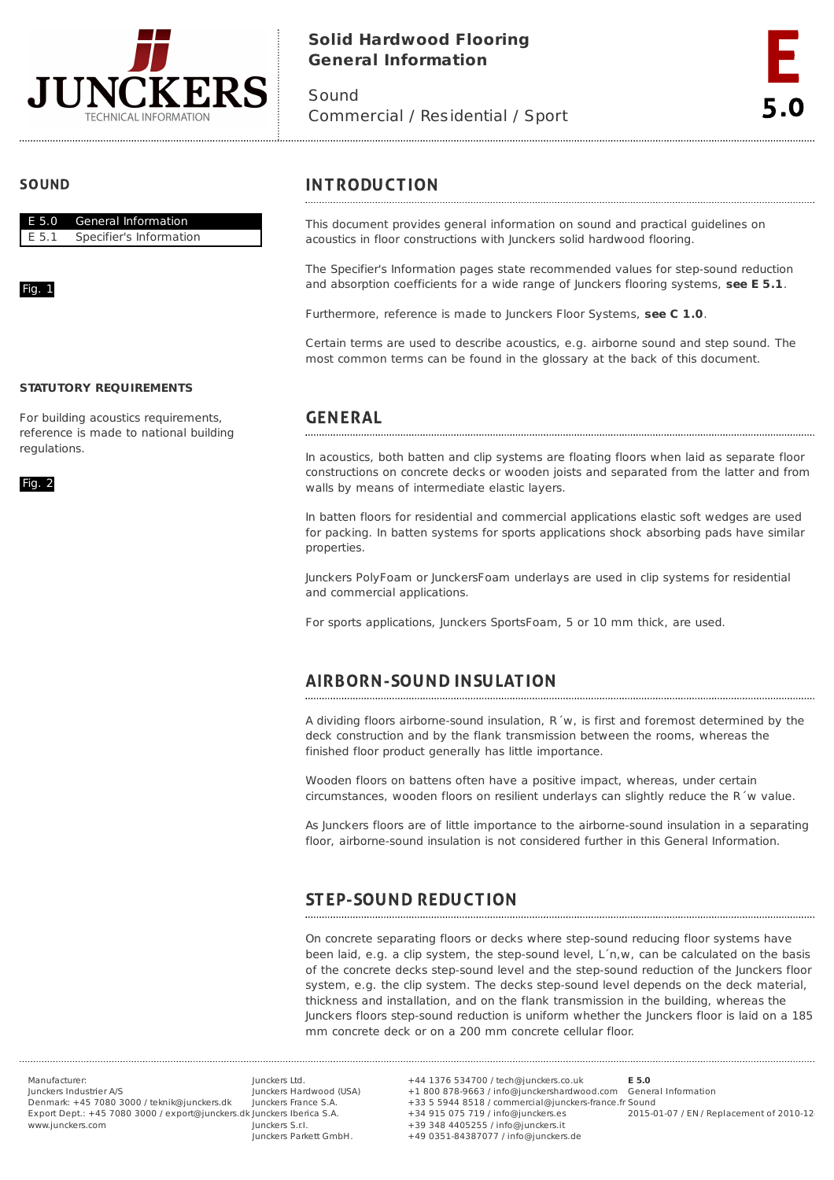

# **Solid Hardwood Flooring General Information**

Sound Commercial / Residential / Sport



## **SOUND**



### Fig. 1

### **STATUTORY REQUIREMENTS**

For building acoustics requirements, reference is made to national building regulations.

Fig. 2

## **INTRODUCTION**

This document provides general information on sound and practical guidelines on acoustics in floor constructions with Junckers solid hardwood flooring.

The Specifier's Information pages state recommended values for step-sound reduction and absorption coefficients for a wide range of Junckers flooring systems, **see E 5.1**.

Furthermore, reference is made to Junckers Floor Systems, **see C 1.0**.

Certain terms are used to describe acoustics, e.g. airborne sound and step sound. The most common terms can be found in the glossary at the back of this document.

# **GENERAL**

In acoustics, both batten and clip systems are floating floors when laid as separate floor constructions on concrete decks or wooden joists and separated from the latter and from walls by means of intermediate elastic layers.

In batten floors for residential and commercial applications elastic soft wedges are used for packing. In batten systems for sports applications shock absorbing pads have similar properties.

Junckers PolyFoam or JunckersFoam underlays are used in clip systems for residential and commercial applications.

For sports applications, Junckers SportsFoam, 5 or 10 mm thick, are used.

# **AIRBORN-SOUND INSULATION**

A dividing floors airborne-sound insulation, R´w, is first and foremost determined by the deck construction and by the flank transmission between the rooms, whereas the finished floor product generally has little importance.

Wooden floors on battens often have a positive impact, whereas, under certain circumstances, wooden floors on resilient underlays can slightly reduce the R´w value.

As Junckers floors are of little importance to the airborne-sound insulation in a separating floor, airborne-sound insulation is not considered further in this General Information.

### **STEP-SOUND REDUCTION**

On concrete separating floors or decks where step-sound reducing floor systems have been laid, e.g. a clip system, the step-sound level, L´n,w, can be calculated on the basis of the concrete decks step-sound level and the step-sound reduction of the Junckers floor system, e.g. the clip system. The decks step-sound level depends on the deck material, thickness and installation, and on the flank transmission in the building, whereas the Junckers floors step-sound reduction is uniform whether the Junckers floor is laid on a 185 mm concrete deck or on a 200 mm concrete cellular floor.

Manufacturer: Junckers Industrier A/S Denmark: +45 7080 3000 / teknik@junckers.dk Export Dept.: +45 7080 3000 / export@junckers.dk Junckers Iberica S.A. www.junckers.com

Junckers Ltd. Junckers Hardwood (USA) Junckers France S.A. Junckers S.r.I. Junckers Parkett GmbH.

+44 1376 534700 / tech@junckers.co.uk +1 800 878-9663 / info@junckershardwood.com General Information +33 5 5944 8518 / commercial@junckers-france.fr Sound +34 915 075 719 / info@junckers.es +39 348 4405255 / info@junckers.it +49 0351-84387077 / info@junckers.de **E 5.0** 2015-01-07 / EN / Replacement of 2010-12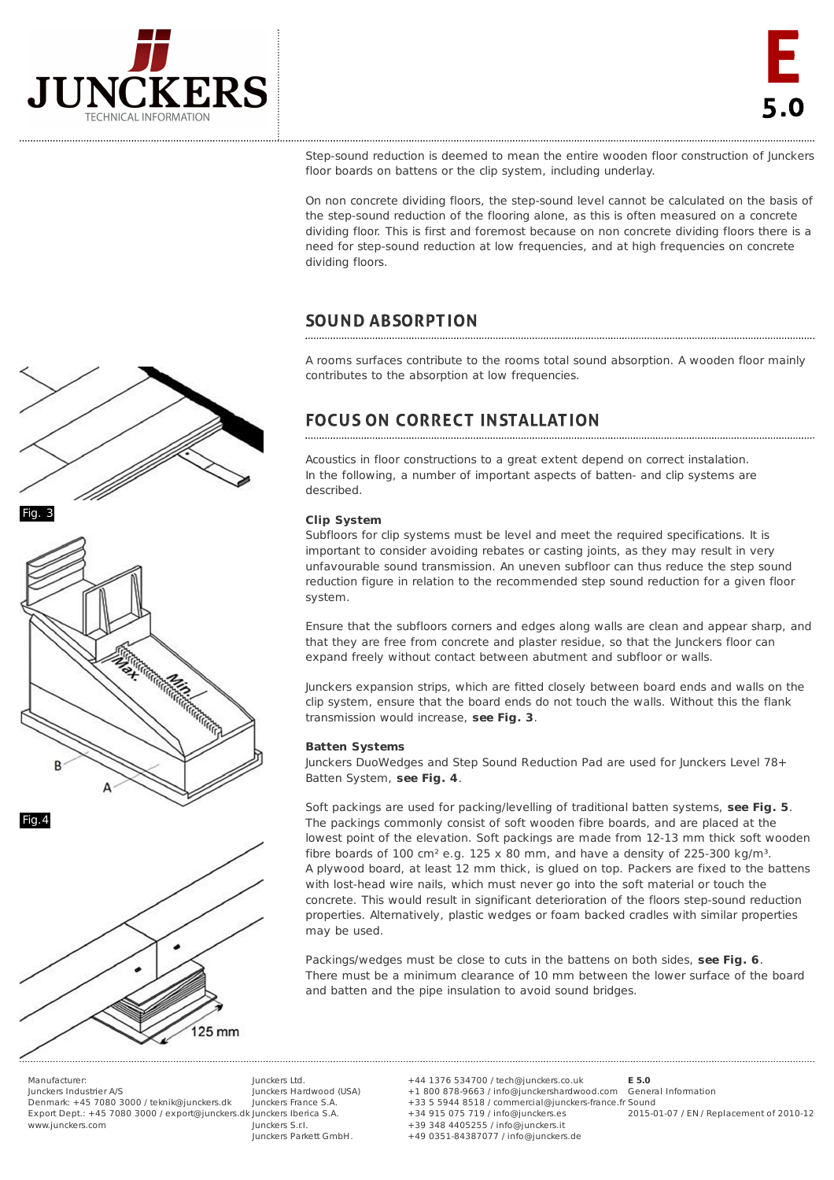

Step-sound reduction is deemed to mean the entire wooden floor construction of Junckers floor boards on battens or the clip system, including underlay.

On non concrete dividing floors, the step-sound level cannot be calculated on the basis of the step-sound reduction of the flooring alone, as this is often measured on a concrete dividing floor. This is first and foremost because on non concrete dividing floors there is a need for step-sound reduction at low frequencies, and at high frequencies on concrete dividing floors.

# **SOUND ABSORPTION**

A rooms surfaces contribute to the rooms total sound absorption. A wooden floor mainly contributes to the absorption at low frequencies.

### **FOCUS ON CORRECT INSTALLATION**

Acoustics in floor constructions to a great extent depend on correct instalation. In the following, a number of important aspects of batten- and clip systems are described.

## **Clip System**

Subfloors for clip systems must be level and meet the required specifications. It is important to consider avoiding rebates or casting joints, as they may result in very unfavourable sound transmission. An uneven subfloor can thus reduce the step sound reduction figure in relation to the recommended step sound reduction for a given floor system.

Ensure that the subfloors corners and edges along walls are clean and appear sharp, and that they are free from concrete and plaster residue, so that the Junckers floor can expand freely without contact between abutment and subfloor or walls.

Junckers expansion strips, which are fitted closely between board ends and walls on the clip system, ensure that the board ends do not touch the walls. Without this the flank transmission would increase, **see Fig. 3**.

### **Batten Systems**

Junckers DuoWedges and Step Sound Reduction Pad are used for Junckers Level 78+ Batten System, **see Fig. 4**.

Soft packings are used for packing/levelling of traditional batten systems, **see Fig. 5**. The packings commonly consist of soft wooden fibre boards, and are placed at the lowest point of the elevation. Soft packings are made from 12-13 mm thick soft wooden fibre boards of 100 cm<sup>2</sup> e.g. 125 x 80 mm, and have a density of 225-300 kg/m<sup>3</sup>. A plywood board, at least 12 mm thick, is glued on top. Packers are fixed to the battens with lost-head wire nails, which must never go into the soft material or touch the concrete. This would result in significant deterioration of the floors step-sound reduction properties. Alternatively, plastic wedges or foam backed cradles with similar properties may be used.

Packings/wedges must be close to cuts in the battens on both sides, **see Fig. 6**. There must be a minimum clearance of 10 mm between the lower surface of the board and batten and the pipe insulation to avoid sound bridges.





Manufacturer: Junckers Industrier A/S

Denmark: +45 7080 3000 / teknik@junckers.dk Export Dept.: +45 7080 3000 / export@junckers.dk Junckers Iberica S.A. www.junckers.com

Junckers Ltd. Junckers Hardwood (USA) Junckers France S.A. Junckers S.r.I. Junckers Parkett GmbH.

+44 1376 534700 / tech@junckers.co.uk +1 800 878-9663 / info@junckershardwood.com General Information +33 5 5944 8518 / commercial@junckers-france.fr Sound +34 915 075 719 / info@junckers.es +39 348 4405255 / info@junckers.it +49 0351-84387077 / info@junckers.de **E 5.0** 2015-01-07 / EN / Replacement of 2010-12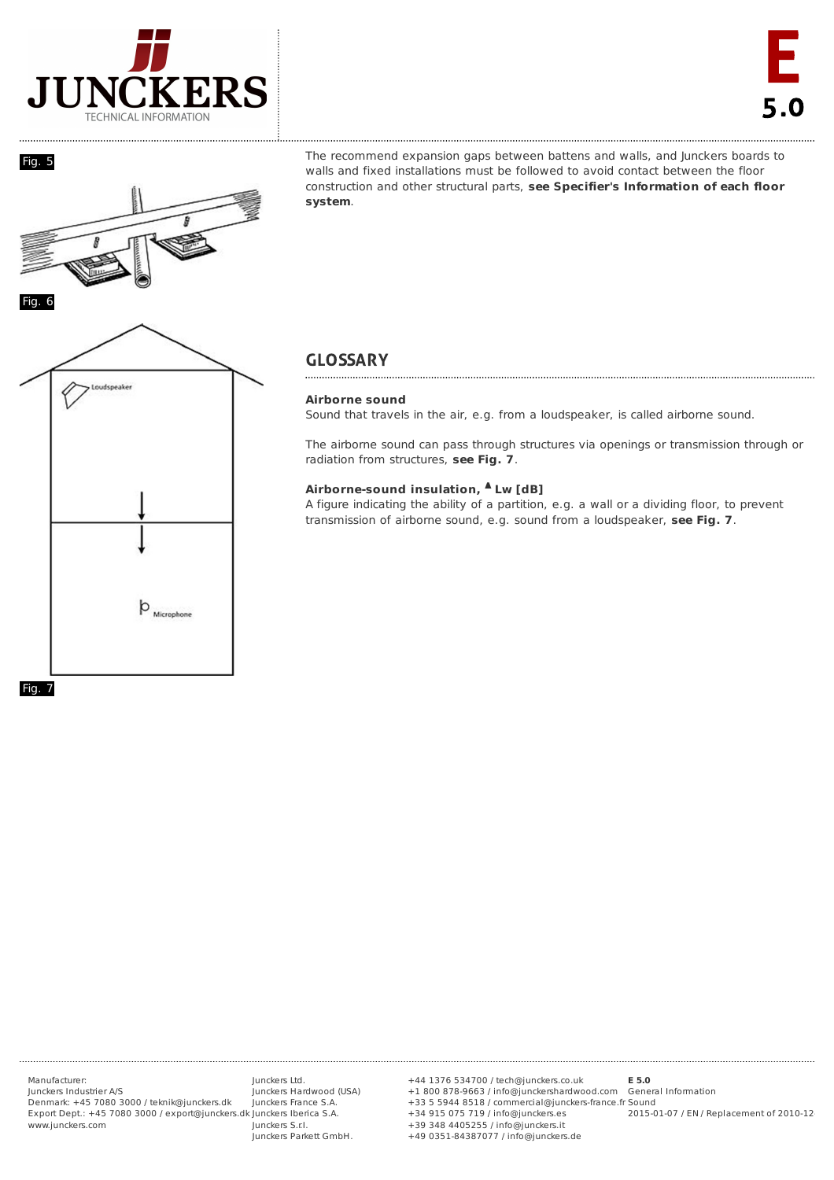





The recommend expansion gaps between battens and walls, and Junckers boards to walls and fixed installations must be followed to avoid contact between the floor construction and other structural parts, **see Specifier's Information of each floor system**.

# **GLOSSARY**

## **Airborne sound**

Sound that travels in the air, e.g. from a loudspeaker, is called airborne sound.

The airborne sound can pass through structures via openings or transmission through or radiation from structures, **see Fig. 7**.

### **Airborne-sound insulation, Lw [dB] Δ**

A figure indicating the ability of a partition, e.g. a wall or a dividing floor, to prevent transmission of airborne sound, e.g. sound from a loudspeaker, **see Fig. 7**.



Manufacturer: Junckers Industrier A/S Denmark: +45 7080 3000 / teknik@junckers.dk Export Dept.: +45 7080 3000 / export@junckers.dk Junckers Iberica S.A. www.junckers.com

Junckers Ltd. Junckers Hardwood (USA) Junckers France S.A. Junckers S.r.I. Junckers Parkett GmbH.

+44 1376 534700 / tech@junckers.co.uk +1 800 878-9663 / info@junckershardwood.com +33 5 5944 8518 / commercial@junckers-france.fr +34 915 075 719 / info@junckers.es +39 348 4405255 / info@junckers.it +49 0351-84387077 / info@junckers.de **E 5.0** Sound

General Information 2015-01-07 / EN / Replacement of 2010-12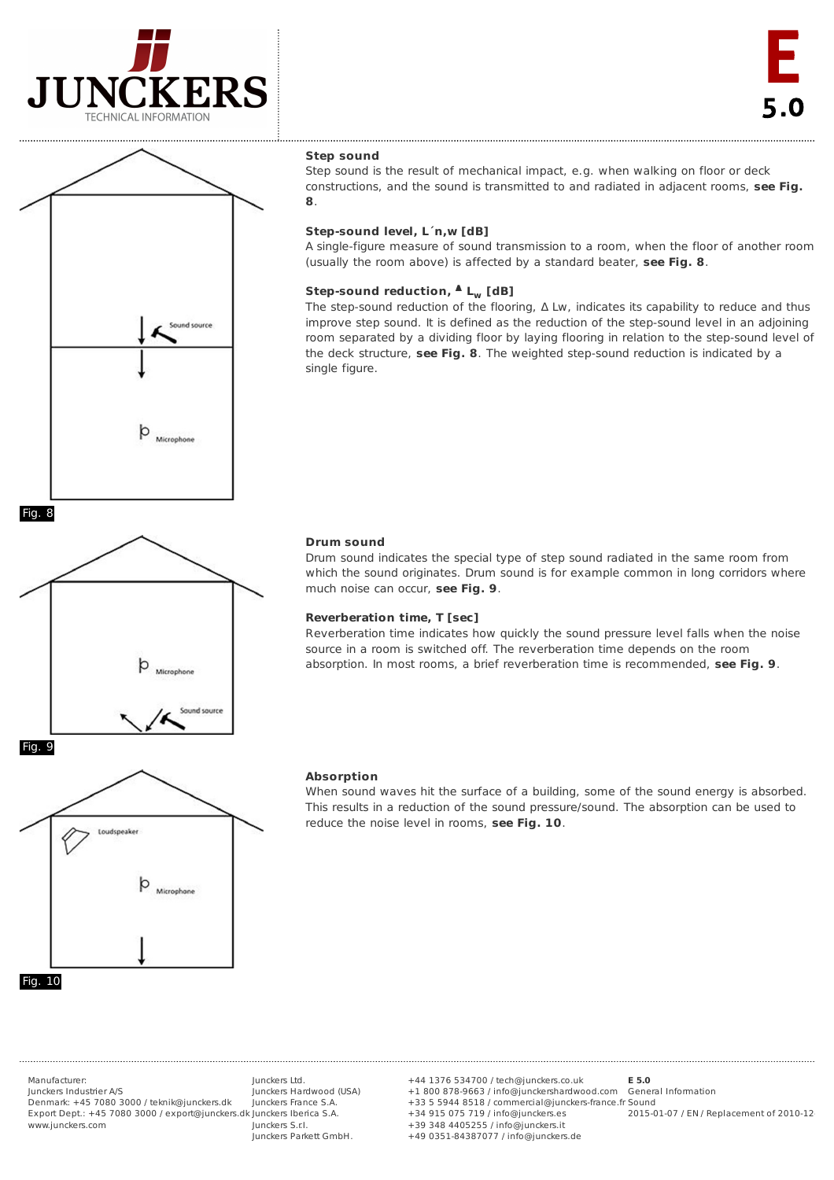



#### **Step sound**

Step sound is the result of mechanical impact, e.g. when walking on floor or deck constructions, and the sound is transmitted to and radiated in adjacent rooms, **see Fig. 8**.

### **Step-sound level, L´n,w [dB]**

A single-figure measure of sound transmission to a room, when the floor of another room (usually the room above) is affected by a standard beater, **see Fig. 8**.

## **Step-sound reduction, L [dB] Δ w**

The step-sound reduction of the flooring,  $\Delta$  Lw, indicates its capability to reduce and thus improve step sound. It is defined as the reduction of the step-sound level in an adjoining room separated by a dividing floor by laying flooring in relation to the step-sound level of the deck structure, **see Fig. 8**. The weighted step-sound reduction is indicated by a single figure.

## **Drum sound**

Drum sound indicates the special type of step sound radiated in the same room from which the sound originates. Drum sound is for example common in long corridors where much noise can occur, **see Fig. 9**.

#### **Reverberation time, T [sec]**

Reverberation time indicates how quickly the sound pressure level falls when the noise source in a room is switched off. The reverberation time depends on the room absorption. In most rooms, a brief reverberation time is recommended, **see Fig. 9**.



Microphone

#### **Absorption**

When sound waves hit the surface of a building, some of the sound energy is absorbed. This results in a reduction of the sound pressure/sound. The absorption can be used to reduce the noise level in rooms, **see Fig. 10**.

Manufacturer:

Junckers Industrier A/S Denmark: +45 7080 3000 / teknik@junckers.dk Export Dept.: +45 7080 3000 / export@junckers.dk Junckers Iberica S.A. www.junckers.com

Junckers Ltd. Junckers Hardwood (USA) Junckers France S.A. Junckers S.r.I. Junckers Parkett GmbH.

+44 1376 534700 / tech@junckers.co.uk +1 800 878-9663 / info@junckershardwood.com General Information +33 5 5944 8518 / commercial@junckers-france.fr Sound +34 915 075 719 / info@junckers.es +39 348 4405255 / info@junckers.it +49 0351-84387077 / info@junckers.de **E 5.0** 2015-01-07 / EN / Replacement of 2010-12